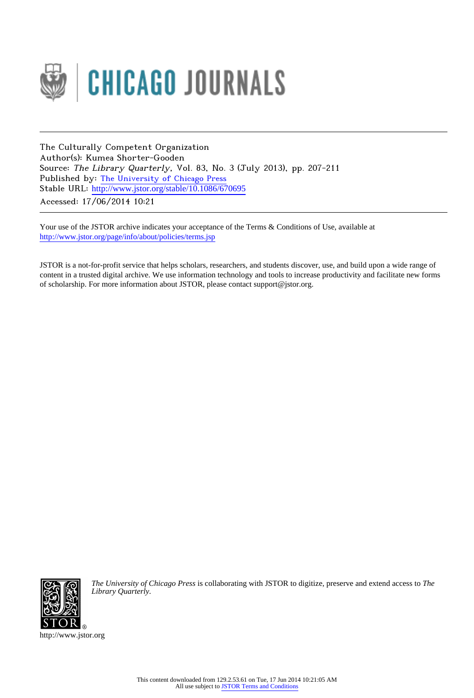

The Culturally Competent Organization Author(s): Kumea Shorter-Gooden Source: The Library Quarterly, Vol. 83, No. 3 (July 2013), pp. 207-211 Published by: [The University of Chicago Press](http://www.jstor.org/action/showPublisher?publisherCode=ucpress) Stable URL: http://www.jstor.org/stable/10.1086/670695 Accessed: 17/06/2014 10:21

Your use of the JSTOR archive indicates your acceptance of the Terms & Conditions of Use, available at <http://www.jstor.org/page/info/about/policies/terms.jsp>

JSTOR is a not-for-profit service that helps scholars, researchers, and students discover, use, and build upon a wide range of content in a trusted digital archive. We use information technology and tools to increase productivity and facilitate new forms of scholarship. For more information about JSTOR, please contact support@jstor.org.



*The University of Chicago Press* is collaborating with JSTOR to digitize, preserve and extend access to *The Library Quarterly.*

http://www.jstor.org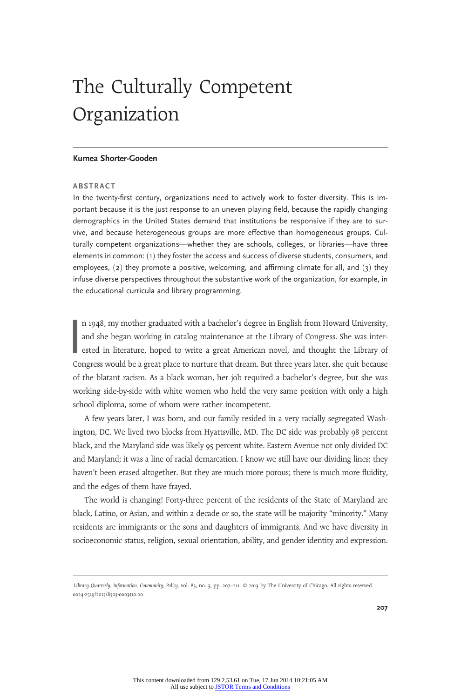# The Culturally Competent Organization

# Kumea Shorter-Gooden

#### ABSTRACT

In the twenty-first century, organizations need to actively work to foster diversity. This is important because it is the just response to an uneven playing field, because the rapidly changing demographics in the United States demand that institutions be responsive if they are to survive, and because heterogeneous groups are more effective than homogeneous groups. Culturally competent organizations—whether they are schools, colleges, or libraries—have three elements in common: (1) they foster the access and success of diverse students, consumers, and employees,  $(2)$  they promote a positive, welcoming, and affirming climate for all, and  $(3)$  they infuse diverse perspectives throughout the substantive work of the organization, for example, in the educational curricula and library programming.

In 1948, my mother graduated with a bachelor's degree in English from Howard University, and she began working in catalog maintenance at the Library of Congress. She was interested in literature, hoped to write a great Ame n 1948, my mother graduated with a bachelor's degree in English from Howard University, and she began working in catalog maintenance at the Library of Congress. She was interested in literature, hoped to write a great American novel, and thought the Library of of the blatant racism. As a black woman, her job required a bachelor's degree, but she was working side-by-side with white women who held the very same position with only a high school diploma, some of whom were rather incompetent.

A few years later, I was born, and our family resided in a very racially segregated Washington, DC. We lived two blocks from Hyattsville, MD. The DC side was probably 98 percent black, and the Maryland side was likely 95 percent white. Eastern Avenue not only divided DC and Maryland; it was a line of racial demarcation. I know we still have our dividing lines; they haven't been erased altogether. But they are much more porous; there is much more fluidity, and the edges of them have frayed.

The world is changing! Forty-three percent of the residents of the State of Maryland are black, Latino, or Asian, and within a decade or so, the state will be majority "minority." Many residents are immigrants or the sons and daughters of immigrants. And we have diversity in socioeconomic status, religion, sexual orientation, ability, and gender identity and expression.

Library Quarterly: Information, Community, Policy, vol. 83, no. 3, pp. 207–211. © 2013 by The University of Chicago. All rights reserved. 0024-2519/2013/8303-0003\$10.00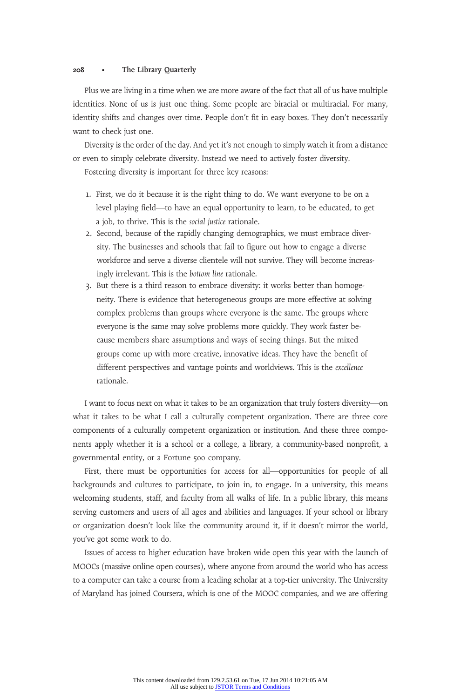## 208 • The Library Quarterly

Plus we are living in a time when we are more aware of the fact that all of us have multiple identities. None of us is just one thing. Some people are biracial or multiracial. For many, identity shifts and changes over time. People don't fit in easy boxes. They don't necessarily want to check just one.

Diversity is the order of the day. And yet it's not enough to simply watch it from a distance or even to simply celebrate diversity. Instead we need to actively foster diversity. Fostering diversity is important for three key reasons:

- 1. First, we do it because it is the right thing to do. We want everyone to be on a level playing field—to have an equal opportunity to learn, to be educated, to get a job, to thrive. This is the social justice rationale.
- 2. Second, because of the rapidly changing demographics, we must embrace diversity. The businesses and schools that fail to figure out how to engage a diverse workforce and serve a diverse clientele will not survive. They will become increasingly irrelevant. This is the bottom line rationale.
- 3. But there is a third reason to embrace diversity: it works better than homogeneity. There is evidence that heterogeneous groups are more effective at solving complex problems than groups where everyone is the same. The groups where everyone is the same may solve problems more quickly. They work faster because members share assumptions and ways of seeing things. But the mixed groups come up with more creative, innovative ideas. They have the benefit of different perspectives and vantage points and worldviews. This is the excellence rationale.

I want to focus next on what it takes to be an organization that truly fosters diversity—on what it takes to be what I call a culturally competent organization. There are three core components of a culturally competent organization or institution. And these three components apply whether it is a school or a college, a library, a community-based nonprofit, a governmental entity, or a Fortune 500 company.

First, there must be opportunities for access for all—opportunities for people of all backgrounds and cultures to participate, to join in, to engage. In a university, this means welcoming students, staff, and faculty from all walks of life. In a public library, this means serving customers and users of all ages and abilities and languages. If your school or library or organization doesn't look like the community around it, if it doesn't mirror the world, you've got some work to do.

Issues of access to higher education have broken wide open this year with the launch of MOOCs (massive online open courses), where anyone from around the world who has access to a computer can take a course from a leading scholar at a top-tier university. The University of Maryland has joined Coursera, which is one of the MOOC companies, and we are offering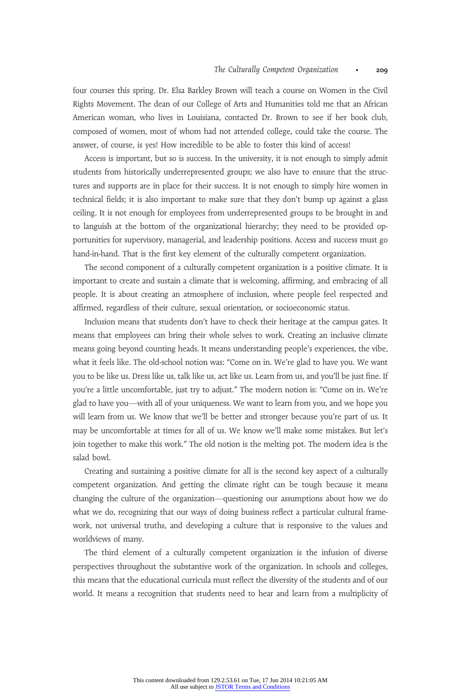four courses this spring. Dr. Elsa Barkley Brown will teach a course on Women in the Civil Rights Movement. The dean of our College of Arts and Humanities told me that an African American woman, who lives in Louisiana, contacted Dr. Brown to see if her book club, composed of women, most of whom had not attended college, could take the course. The answer, of course, is yes! How incredible to be able to foster this kind of access!

Access is important, but so is success. In the university, it is not enough to simply admit students from historically underrepresented groups; we also have to ensure that the structures and supports are in place for their success. It is not enough to simply hire women in technical fields; it is also important to make sure that they don't bump up against a glass ceiling. It is not enough for employees from underrepresented groups to be brought in and to languish at the bottom of the organizational hierarchy; they need to be provided opportunities for supervisory, managerial, and leadership positions. Access and success must go hand-in-hand. That is the first key element of the culturally competent organization.

The second component of a culturally competent organization is a positive climate. It is important to create and sustain a climate that is welcoming, affirming, and embracing of all people. It is about creating an atmosphere of inclusion, where people feel respected and affirmed, regardless of their culture, sexual orientation, or socioeconomic status.

Inclusion means that students don't have to check their heritage at the campus gates. It means that employees can bring their whole selves to work. Creating an inclusive climate means going beyond counting heads. It means understanding people's experiences, the vibe, what it feels like. The old-school notion was: "Come on in. We're glad to have you. We want you to be like us. Dress like us, talk like us, act like us. Learn from us, and you'll be just fine. If you're a little uncomfortable, just try to adjust." The modern notion is: "Come on in. We're glad to have you—with all of your uniqueness. We want to learn from you, and we hope you will learn from us. We know that we'll be better and stronger because you're part of us. It may be uncomfortable at times for all of us. We know we'll make some mistakes. But let's join together to make this work." The old notion is the melting pot. The modern idea is the salad bowl.

Creating and sustaining a positive climate for all is the second key aspect of a culturally competent organization. And getting the climate right can be tough because it means changing the culture of the organization—questioning our assumptions about how we do what we do, recognizing that our ways of doing business reflect a particular cultural framework, not universal truths, and developing a culture that is responsive to the values and worldviews of many.

The third element of a culturally competent organization is the infusion of diverse perspectives throughout the substantive work of the organization. In schools and colleges, this means that the educational curricula must reflect the diversity of the students and of our world. It means a recognition that students need to hear and learn from a multiplicity of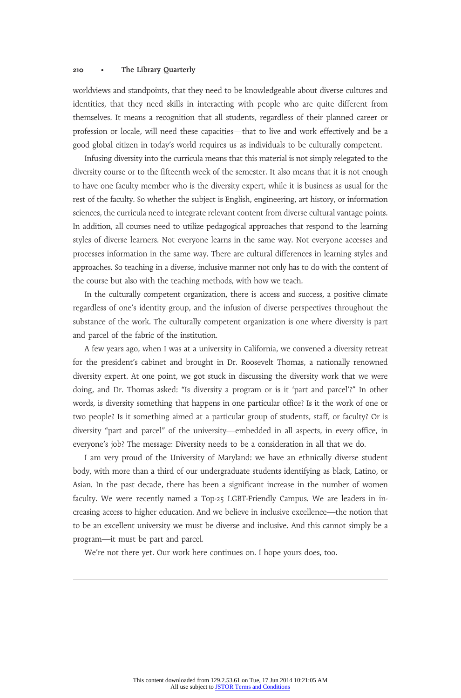## 210 • The Library Quarterly

worldviews and standpoints, that they need to be knowledgeable about diverse cultures and identities, that they need skills in interacting with people who are quite different from themselves. It means a recognition that all students, regardless of their planned career or profession or locale, will need these capacities—that to live and work effectively and be a good global citizen in today's world requires us as individuals to be culturally competent.

Infusing diversity into the curricula means that this material is not simply relegated to the diversity course or to the fifteenth week of the semester. It also means that it is not enough to have one faculty member who is the diversity expert, while it is business as usual for the rest of the faculty. So whether the subject is English, engineering, art history, or information sciences, the curricula need to integrate relevant content from diverse cultural vantage points. In addition, all courses need to utilize pedagogical approaches that respond to the learning styles of diverse learners. Not everyone learns in the same way. Not everyone accesses and processes information in the same way. There are cultural differences in learning styles and approaches. So teaching in a diverse, inclusive manner not only has to do with the content of the course but also with the teaching methods, with how we teach.

In the culturally competent organization, there is access and success, a positive climate regardless of one's identity group, and the infusion of diverse perspectives throughout the substance of the work. The culturally competent organization is one where diversity is part and parcel of the fabric of the institution.

A few years ago, when I was at a university in California, we convened a diversity retreat for the president's cabinet and brought in Dr. Roosevelt Thomas, a nationally renowned diversity expert. At one point, we got stuck in discussing the diversity work that we were doing, and Dr. Thomas asked: "Is diversity a program or is it 'part and parcel'?" In other words, is diversity something that happens in one particular office? Is it the work of one or two people? Is it something aimed at a particular group of students, staff, or faculty? Or is diversity "part and parcel" of the university—embedded in all aspects, in every office, in everyone's job? The message: Diversity needs to be a consideration in all that we do.

I am very proud of the University of Maryland: we have an ethnically diverse student body, with more than a third of our undergraduate students identifying as black, Latino, or Asian. In the past decade, there has been a significant increase in the number of women faculty. We were recently named a Top-25 LGBT-Friendly Campus. We are leaders in increasing access to higher education. And we believe in inclusive excellence—the notion that to be an excellent university we must be diverse and inclusive. And this cannot simply be a program—it must be part and parcel.

We're not there yet. Our work here continues on. I hope yours does, too.